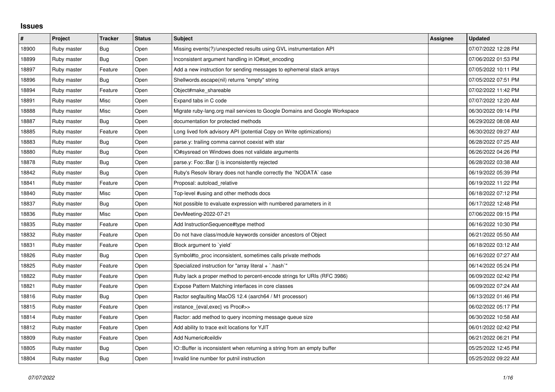## **Issues**

| $\pmb{\#}$ | Project     | <b>Tracker</b> | <b>Status</b> | <b>Subject</b>                                                             | Assignee | <b>Updated</b>      |
|------------|-------------|----------------|---------------|----------------------------------------------------------------------------|----------|---------------------|
| 18900      | Ruby master | Bug            | Open          | Missing events(?)/unexpected results using GVL instrumentation API         |          | 07/07/2022 12:28 PM |
| 18899      | Ruby master | Bug            | Open          | Inconsistent argument handling in IO#set encoding                          |          | 07/06/2022 01:53 PM |
| 18897      | Ruby master | Feature        | Open          | Add a new instruction for sending messages to ephemeral stack arrays       |          | 07/05/2022 10:11 PM |
| 18896      | Ruby master | Bug            | Open          | Shellwords.escape(nil) returns "empty" string                              |          | 07/05/2022 07:51 PM |
| 18894      | Ruby master | Feature        | Open          | Object#make_shareable                                                      |          | 07/02/2022 11:42 PM |
| 18891      | Ruby master | Misc           | Open          | Expand tabs in C code                                                      |          | 07/07/2022 12:20 AM |
| 18888      | Ruby master | Misc           | Open          | Migrate ruby-lang.org mail services to Google Domains and Google Workspace |          | 06/30/2022 09:14 PM |
| 18887      | Ruby master | Bug            | Open          | documentation for protected methods                                        |          | 06/29/2022 08:08 AM |
| 18885      | Ruby master | Feature        | Open          | Long lived fork advisory API (potential Copy on Write optimizations)       |          | 06/30/2022 09:27 AM |
| 18883      | Ruby master | <b>Bug</b>     | Open          | parse.y: trailing comma cannot coexist with star                           |          | 06/28/2022 07:25 AM |
| 18880      | Ruby master | Bug            | Open          | IO#sysread on Windows does not validate arguments                          |          | 06/26/2022 04:26 PM |
| 18878      | Ruby master | <b>Bug</b>     | Open          | parse.y: Foo::Bar {} is inconsistently rejected                            |          | 06/28/2022 03:38 AM |
| 18842      | Ruby master | <b>Bug</b>     | Open          | Ruby's Resolv library does not handle correctly the `NODATA` case          |          | 06/19/2022 05:39 PM |
| 18841      | Ruby master | Feature        | Open          | Proposal: autoload relative                                                |          | 06/19/2022 11:22 PM |
| 18840      | Ruby master | Misc           | Open          | Top-level #using and other methods docs                                    |          | 06/18/2022 07:12 PM |
| 18837      | Ruby master | <b>Bug</b>     | Open          | Not possible to evaluate expression with numbered parameters in it         |          | 06/17/2022 12:48 PM |
| 18836      | Ruby master | Misc           | Open          | DevMeeting-2022-07-21                                                      |          | 07/06/2022 09:15 PM |
| 18835      | Ruby master | Feature        | Open          | Add InstructionSequence#type method                                        |          | 06/16/2022 10:30 PM |
| 18832      | Ruby master | Feature        | Open          | Do not have class/module keywords consider ancestors of Object             |          | 06/21/2022 05:50 AM |
| 18831      | Ruby master | Feature        | Open          | Block argument to `yield`                                                  |          | 06/18/2022 03:12 AM |
| 18826      | Ruby master | Bug            | Open          | Symbol#to_proc inconsistent, sometimes calls private methods               |          | 06/16/2022 07:27 AM |
| 18825      | Ruby master | Feature        | Open          | Specialized instruction for "array literal + `.hash`"                      |          | 06/14/2022 05:24 PM |
| 18822      | Ruby master | Feature        | Open          | Ruby lack a proper method to percent-encode strings for URIs (RFC 3986)    |          | 06/09/2022 02:42 PM |
| 18821      | Ruby master | Feature        | Open          | Expose Pattern Matching interfaces in core classes                         |          | 06/09/2022 07:24 AM |
| 18816      | Ruby master | Bug            | Open          | Ractor segfaulting MacOS 12.4 (aarch64 / M1 processor)                     |          | 06/13/2022 01:46 PM |
| 18815      | Ruby master | Feature        | Open          | instance_{eval,exec} vs Proc#>>                                            |          | 06/02/2022 05:17 PM |
| 18814      | Ruby master | Feature        | Open          | Ractor: add method to query incoming message queue size                    |          | 06/30/2022 10:58 AM |
| 18812      | Ruby master | Feature        | Open          | Add ability to trace exit locations for YJIT                               |          | 06/01/2022 02:42 PM |
| 18809      | Ruby master | Feature        | Open          | Add Numeric#ceildiv                                                        |          | 06/21/2022 06:21 PM |
| 18805      | Ruby master | Bug            | Open          | IO::Buffer is inconsistent when returning a string from an empty buffer    |          | 05/25/2022 12:45 PM |
| 18804      | Ruby master | Bug            | Open          | Invalid line number for putnil instruction                                 |          | 05/25/2022 09:22 AM |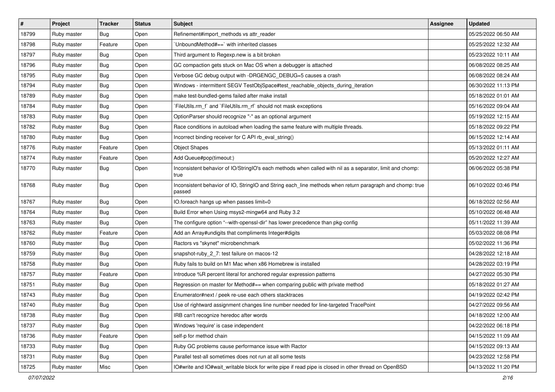| $\sharp$ | Project     | <b>Tracker</b> | <b>Status</b> | <b>Subject</b>                                                                                                     | Assignee | <b>Updated</b>      |
|----------|-------------|----------------|---------------|--------------------------------------------------------------------------------------------------------------------|----------|---------------------|
| 18799    | Ruby master | Bug            | Open          | Refinement#import_methods vs attr_reader                                                                           |          | 05/25/2022 06:50 AM |
| 18798    | Ruby master | Feature        | Open          | 'UnboundMethod#==' with inherited classes                                                                          |          | 05/25/2022 12:32 AM |
| 18797    | Ruby master | <b>Bug</b>     | Open          | Third argument to Regexp.new is a bit broken                                                                       |          | 05/23/2022 10:11 AM |
| 18796    | Ruby master | <b>Bug</b>     | Open          | GC compaction gets stuck on Mac OS when a debugger is attached                                                     |          | 06/08/2022 08:25 AM |
| 18795    | Ruby master | Bug            | Open          | Verbose GC debug output with -DRGENGC_DEBUG=5 causes a crash                                                       |          | 06/08/2022 08:24 AM |
| 18794    | Ruby master | <b>Bug</b>     | Open          | Windows - intermittent SEGV TestObjSpace#test_reachable_objects_during_iteration                                   |          | 06/30/2022 11:13 PM |
| 18789    | Ruby master | Bug            | Open          | make test-bundled-gems failed after make install                                                                   |          | 05/18/2022 01:01 AM |
| 18784    | Ruby master | <b>Bug</b>     | Open          | `FileUtils.rm_f` and `FileUtils.rm_rf` should not mask exceptions                                                  |          | 05/16/2022 09:04 AM |
| 18783    | Ruby master | <b>Bug</b>     | Open          | OptionParser should recognize "-" as an optional argument                                                          |          | 05/19/2022 12:15 AM |
| 18782    | Ruby master | Bug            | Open          | Race conditions in autoload when loading the same feature with multiple threads.                                   |          | 05/18/2022 09:22 PM |
| 18780    | Ruby master | <b>Bug</b>     | Open          | Incorrect binding receiver for C API rb_eval_string()                                                              |          | 06/15/2022 12:14 AM |
| 18776    | Ruby master | Feature        | Open          | <b>Object Shapes</b>                                                                                               |          | 05/13/2022 01:11 AM |
| 18774    | Ruby master | Feature        | Open          | Add Queue#pop(timeout:)                                                                                            |          | 05/20/2022 12:27 AM |
| 18770    | Ruby master | Bug            | Open          | Inconsistent behavior of IO/StringIO's each methods when called with nil as a separator, limit and chomp:<br>true  |          | 06/06/2022 05:38 PM |
| 18768    | Ruby master | Bug            | Open          | Inconsistent behavior of IO, StringIO and String each_line methods when return paragraph and chomp: true<br>passed |          | 06/10/2022 03:46 PM |
| 18767    | Ruby master | Bug            | Open          | IO.foreach hangs up when passes limit=0                                                                            |          | 06/18/2022 02:56 AM |
| 18764    | Ruby master | <b>Bug</b>     | Open          | Build Error when Using msys2-mingw64 and Ruby 3.2                                                                  |          | 05/10/2022 06:48 AM |
| 18763    | Ruby master | Bug            | Open          | The configure option "--with-openssl-dir" has lower precedence than pkg-config                                     |          | 05/11/2022 11:39 AM |
| 18762    | Ruby master | Feature        | Open          | Add an Array#undigits that compliments Integer#digits                                                              |          | 05/03/2022 08:08 PM |
| 18760    | Ruby master | Bug            | Open          | Ractors vs "skynet" microbenchmark                                                                                 |          | 05/02/2022 11:36 PM |
| 18759    | Ruby master | Bug            | Open          | snapshot-ruby_2_7: test failure on macos-12                                                                        |          | 04/28/2022 12:18 AM |
| 18758    | Ruby master | <b>Bug</b>     | Open          | Ruby fails to build on M1 Mac when x86 Homebrew is installed                                                       |          | 04/28/2022 03:19 PM |
| 18757    | Ruby master | Feature        | Open          | Introduce %R percent literal for anchored regular expression patterns                                              |          | 04/27/2022 05:30 PM |
| 18751    | Ruby master | Bug            | Open          | Regression on master for Method#== when comparing public with private method                                       |          | 05/18/2022 01:27 AM |
| 18743    | Ruby master | <b>Bug</b>     | Open          | Enumerator#next / peek re-use each others stacktraces                                                              |          | 04/19/2022 02:42 PM |
| 18740    | Ruby master | <b>Bug</b>     | Open          | Use of rightward assignment changes line number needed for line-targeted TracePoint                                |          | 04/27/2022 09:56 AM |
| 18738    | Ruby master | Bug            | Open          | IRB can't recognize heredoc after words                                                                            |          | 04/18/2022 12:00 AM |
| 18737    | Ruby master | <b>Bug</b>     | Open          | Windows 'require' is case independent                                                                              |          | 04/22/2022 06:18 PM |
| 18736    | Ruby master | Feature        | Open          | self-p for method chain                                                                                            |          | 04/15/2022 11:09 AM |
| 18733    | Ruby master | Bug            | Open          | Ruby GC problems cause performance issue with Ractor                                                               |          | 04/15/2022 09:13 AM |
| 18731    | Ruby master | <b>Bug</b>     | Open          | Parallel test-all sometimes does not run at all some tests                                                         |          | 04/23/2022 12:58 PM |
| 18725    | Ruby master | Misc           | Open          | IO#write and IO#wait_writable block for write pipe if read pipe is closed in other thread on OpenBSD               |          | 04/13/2022 11:20 PM |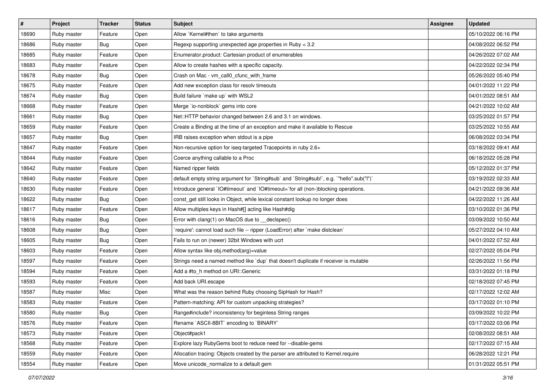| #     | <b>Project</b> | <b>Tracker</b> | <b>Status</b> | <b>Subject</b>                                                                            | <b>Assignee</b> | <b>Updated</b>      |
|-------|----------------|----------------|---------------|-------------------------------------------------------------------------------------------|-----------------|---------------------|
| 18690 | Ruby master    | Feature        | Open          | Allow `Kernel#then` to take arguments                                                     |                 | 05/10/2022 06:16 PM |
| 18686 | Ruby master    | <b>Bug</b>     | Open          | Regexp supporting unexpected age properties in Ruby < 3.2                                 |                 | 04/08/2022 06:52 PM |
| 18685 | Ruby master    | Feature        | Open          | Enumerator.product: Cartesian product of enumerables                                      |                 | 04/26/2022 07:02 AM |
| 18683 | Ruby master    | Feature        | Open          | Allow to create hashes with a specific capacity.                                          |                 | 04/22/2022 02:34 PM |
| 18678 | Ruby master    | Bug            | Open          | Crash on Mac - vm_call0_cfunc_with_frame                                                  |                 | 05/26/2022 05:40 PM |
| 18675 | Ruby master    | Feature        | Open          | Add new exception class for resolv timeouts                                               |                 | 04/01/2022 11:22 PM |
| 18674 | Ruby master    | <b>Bug</b>     | Open          | Build failure `make up` with WSL2                                                         |                 | 04/01/2022 08:51 AM |
| 18668 | Ruby master    | Feature        | Open          | Merge `io-nonblock` gems into core                                                        |                 | 04/21/2022 10:02 AM |
| 18661 | Ruby master    | <b>Bug</b>     | Open          | Net::HTTP behavior changed between 2.6 and 3.1 on windows.                                |                 | 03/25/2022 01:57 PM |
| 18659 | Ruby master    | Feature        | Open          | Create a Binding at the time of an exception and make it available to Rescue              |                 | 03/25/2022 10:55 AM |
| 18657 | Ruby master    | Bug            | Open          | IRB raises exception when stdout is a pipe                                                |                 | 06/08/2022 03:34 PM |
| 18647 | Ruby master    | Feature        | Open          | Non-recursive option for iseq-targeted Tracepoints in ruby 2.6+                           |                 | 03/18/2022 09:41 AM |
| 18644 | Ruby master    | Feature        | Open          | Coerce anything callable to a Proc                                                        |                 | 06/18/2022 05:28 PM |
| 18642 | Ruby master    | Feature        | Open          | Named ripper fields                                                                       |                 | 05/12/2022 01:37 PM |
| 18640 | Ruby master    | Feature        | Open          | default empty string argument for `String#sub` and `String#sub!`, e.g. `"hello".sub("I")` |                 | 03/19/2022 02:33 AM |
| 18630 | Ruby master    | Feature        | Open          | Introduce general `IO#timeout` and `IO#timeout=`for all (non-)blocking operations.        |                 | 04/21/2022 09:36 AM |
| 18622 | Ruby master    | <b>Bug</b>     | Open          | const_get still looks in Object, while lexical constant lookup no longer does             |                 | 04/22/2022 11:26 AM |
| 18617 | Ruby master    | Feature        | Open          | Allow multiples keys in Hash#[] acting like Hash#dig                                      |                 | 03/10/2022 01:36 PM |
| 18616 | Ruby master    | <b>Bug</b>     | Open          | Error with clang(1) on MacOS due to __declspec()                                          |                 | 03/09/2022 10:50 AM |
| 18608 | Ruby master    | <b>Bug</b>     | Open          | 'require': cannot load such file -- ripper (LoadError) after 'make distclean'             |                 | 05/27/2022 04:10 AM |
| 18605 | Ruby master    | <b>Bug</b>     | Open          | Fails to run on (newer) 32bit Windows with ucrt                                           |                 | 04/01/2022 07:52 AM |
| 18603 | Ruby master    | Feature        | Open          | Allow syntax like obj.method(arg)=value                                                   |                 | 02/27/2022 05:04 PM |
| 18597 | Ruby master    | Feature        | Open          | Strings need a named method like 'dup' that doesn't duplicate if receiver is mutable      |                 | 02/26/2022 11:56 PM |
| 18594 | Ruby master    | Feature        | Open          | Add a #to h method on URI:: Generic                                                       |                 | 03/31/2022 01:18 PM |
| 18593 | Ruby master    | Feature        | Open          | Add back URI.escape                                                                       |                 | 02/18/2022 07:45 PM |
| 18587 | Ruby master    | Misc           | Open          | What was the reason behind Ruby choosing SipHash for Hash?                                |                 | 02/17/2022 12:02 AM |
| 18583 | Ruby master    | Feature        | Open          | Pattern-matching: API for custom unpacking strategies?                                    |                 | 03/17/2022 01:10 PM |
| 18580 | Ruby master    | Bug            | Open          | Range#include? inconsistency for beginless String ranges                                  |                 | 03/09/2022 10:22 PM |
| 18576 | Ruby master    | Feature        | Open          | Rename `ASCII-8BIT` encoding to `BINARY`                                                  |                 | 03/17/2022 03:06 PM |
| 18573 | Ruby master    | Feature        | Open          | Object#pack1                                                                              |                 | 02/08/2022 08:51 AM |
| 18568 | Ruby master    | Feature        | Open          | Explore lazy RubyGems boot to reduce need for --disable-gems                              |                 | 02/17/2022 07:15 AM |
| 18559 | Ruby master    | Feature        | Open          | Allocation tracing: Objects created by the parser are attributed to Kernel.require        |                 | 06/28/2022 12:21 PM |
| 18554 | Ruby master    | Feature        | Open          | Move unicode_normalize to a default gem                                                   |                 | 01/31/2022 05:51 PM |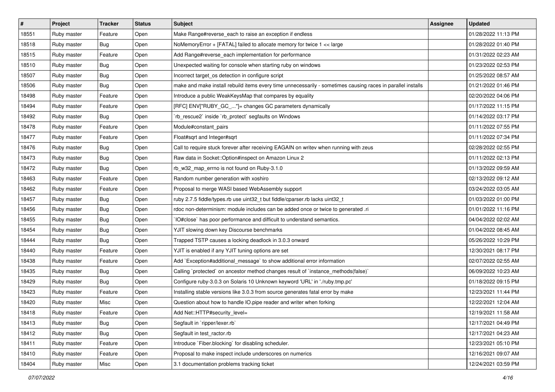| #     | Project     | <b>Tracker</b> | <b>Status</b> | <b>Subject</b>                                                                                              | <b>Assignee</b> | <b>Updated</b>      |
|-------|-------------|----------------|---------------|-------------------------------------------------------------------------------------------------------------|-----------------|---------------------|
| 18551 | Ruby master | Feature        | Open          | Make Range#reverse_each to raise an exception if endless                                                    |                 | 01/28/2022 11:13 PM |
| 18518 | Ruby master | <b>Bug</b>     | Open          | NoMemoryError + [FATAL] failed to allocate memory for twice 1 << large                                      |                 | 01/28/2022 01:40 PM |
| 18515 | Ruby master | Feature        | Open          | Add Range#reverse_each implementation for performance                                                       |                 | 01/31/2022 02:23 AM |
| 18510 | Ruby master | <b>Bug</b>     | Open          | Unexpected waiting for console when starting ruby on windows                                                |                 | 01/23/2022 02:53 PM |
| 18507 | Ruby master | Bug            | Open          | Incorrect target_os detection in configure script                                                           |                 | 01/25/2022 08:57 AM |
| 18506 | Ruby master | <b>Bug</b>     | Open          | make and make install rebuild items every time unnecessarily - sometimes causing races in parallel installs |                 | 01/21/2022 01:46 PM |
| 18498 | Ruby master | Feature        | Open          | Introduce a public WeakKeysMap that compares by equality                                                    |                 | 02/20/2022 04:06 PM |
| 18494 | Ruby master | Feature        | Open          | [RFC] ENV["RUBY_GC_"]= changes GC parameters dynamically                                                    |                 | 01/17/2022 11:15 PM |
| 18492 | Ruby master | Bug            | Open          | `rb_rescue2` inside `rb_protect` segfaults on Windows                                                       |                 | 01/14/2022 03:17 PM |
| 18478 | Ruby master | Feature        | Open          | Module#constant_pairs                                                                                       |                 | 01/11/2022 07:55 PM |
| 18477 | Ruby master | Feature        | Open          | Float#sqrt and Integer#sqrt                                                                                 |                 | 01/11/2022 07:34 PM |
| 18476 | Ruby master | <b>Bug</b>     | Open          | Call to require stuck forever after receiving EAGAIN on writev when running with zeus                       |                 | 02/28/2022 02:55 PM |
| 18473 | Ruby master | <b>Bug</b>     | Open          | Raw data in Socket:: Option#inspect on Amazon Linux 2                                                       |                 | 01/11/2022 02:13 PM |
| 18472 | Ruby master | <b>Bug</b>     | Open          | rb_w32_map_errno is not found on Ruby-3.1.0                                                                 |                 | 01/13/2022 09:59 AM |
| 18463 | Ruby master | Feature        | Open          | Random number generation with xoshiro                                                                       |                 | 02/13/2022 09:12 AM |
| 18462 | Ruby master | Feature        | Open          | Proposal to merge WASI based WebAssembly support                                                            |                 | 03/24/2022 03:05 AM |
| 18457 | Ruby master | <b>Bug</b>     | Open          | ruby 2.7.5 fiddle/types.rb use uint32_t but fiddle/cparser.rb lacks uint32_t                                |                 | 01/03/2022 01:00 PM |
| 18456 | Ruby master | Bug            | Open          | rdoc non-determinism: module includes can be added once or twice to generated .ri                           |                 | 01/01/2022 11:16 PM |
| 18455 | Ruby master | <b>Bug</b>     | Open          | IO#close` has poor performance and difficult to understand semantics.                                       |                 | 04/04/2022 02:02 AM |
| 18454 | Ruby master | <b>Bug</b>     | Open          | YJIT slowing down key Discourse benchmarks                                                                  |                 | 01/04/2022 08:45 AM |
| 18444 | Ruby master | <b>Bug</b>     | Open          | Trapped TSTP causes a locking deadlock in 3.0.3 onward                                                      |                 | 05/26/2022 10:29 PM |
| 18440 | Ruby master | Feature        | Open          | YJIT is enabled if any YJIT tuning options are set                                                          |                 | 12/30/2021 08:17 PM |
| 18438 | Ruby master | Feature        | Open          | Add `Exception#additional_message` to show additional error information                                     |                 | 02/07/2022 02:55 AM |
| 18435 | Ruby master | <b>Bug</b>     | Open          | Calling `protected` on ancestor method changes result of `instance_methods(false)`                          |                 | 06/09/2022 10:23 AM |
| 18429 | Ruby master | <b>Bug</b>     | Open          | Configure ruby-3.0.3 on Solaris 10 Unknown keyword 'URL' in './ruby.tmp.pc'                                 |                 | 01/18/2022 09:15 PM |
| 18423 | Ruby master | Feature        | Open          | Installing stable versions like 3.0.3 from source generates fatal error by make                             |                 | 12/23/2021 11:44 PM |
| 18420 | Ruby master | Misc           | Open          | Question about how to handle IO.pipe reader and writer when forking                                         |                 | 12/22/2021 12:04 AM |
| 18418 | Ruby master | Feature        | Open          | Add Net::HTTP#security_level=                                                                               |                 | 12/19/2021 11:58 AM |
| 18413 | Ruby master | Bug            | Open          | Segfault in `ripper/lexer.rb`                                                                               |                 | 12/17/2021 04:49 PM |
| 18412 | Ruby master | <b>Bug</b>     | Open          | Segfault in test_ractor.rb                                                                                  |                 | 12/17/2021 04:23 AM |
| 18411 | Ruby master | Feature        | Open          | Introduce `Fiber.blocking` for disabling scheduler.                                                         |                 | 12/23/2021 05:10 PM |
| 18410 | Ruby master | Feature        | Open          | Proposal to make inspect include underscores on numerics                                                    |                 | 12/16/2021 09:07 AM |
| 18404 | Ruby master | Misc           | Open          | 3.1 documentation problems tracking ticket                                                                  |                 | 12/24/2021 03:59 PM |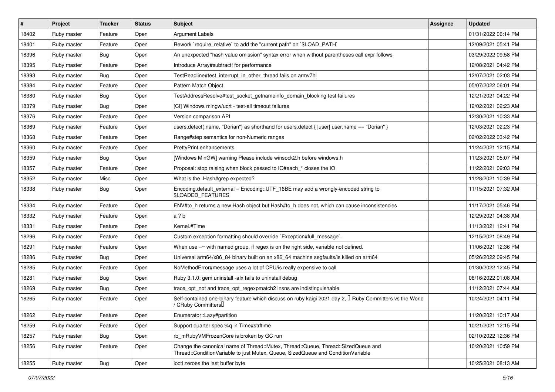| $\vert$ # | Project     | <b>Tracker</b> | <b>Status</b> | <b>Subject</b>                                                                                                                                                        | <b>Assignee</b> | <b>Updated</b>      |
|-----------|-------------|----------------|---------------|-----------------------------------------------------------------------------------------------------------------------------------------------------------------------|-----------------|---------------------|
| 18402     | Ruby master | Feature        | Open          | <b>Argument Labels</b>                                                                                                                                                |                 | 01/31/2022 06:14 PM |
| 18401     | Ruby master | Feature        | Open          | Rework `require_relative` to add the "current path" on `\$LOAD_PATH`                                                                                                  |                 | 12/09/2021 05:41 PM |
| 18396     | Ruby master | Bug            | Open          | An unexpected "hash value omission" syntax error when without parentheses call expr follows                                                                           |                 | 03/29/2022 09:58 PM |
| 18395     | Ruby master | Feature        | Open          | Introduce Array#subtract! for performance                                                                                                                             |                 | 12/08/2021 04:42 PM |
| 18393     | Ruby master | Bug            | Open          | TestReadline#test_interrupt_in_other_thread fails on armv7hl                                                                                                          |                 | 12/07/2021 02:03 PM |
| 18384     | Ruby master | Feature        | Open          | Pattern Match Object                                                                                                                                                  |                 | 05/07/2022 06:01 PM |
| 18380     | Ruby master | Bug            | Open          | TestAddressResolve#test_socket_getnameinfo_domain_blocking test failures                                                                                              |                 | 12/21/2021 04:22 PM |
| 18379     | Ruby master | Bug            | Open          | [CI] Windows mingw/ucrt - test-all timeout failures                                                                                                                   |                 | 12/02/2021 02:23 AM |
| 18376     | Ruby master | Feature        | Open          | Version comparison API                                                                                                                                                |                 | 12/30/2021 10:33 AM |
| 18369     | Ruby master | Feature        | Open          | users.detect(:name, "Dorian") as shorthand for users.detect {  user  user.name == "Dorian" }                                                                          |                 | 12/03/2021 02:23 PM |
| 18368     | Ruby master | Feature        | Open          | Range#step semantics for non-Numeric ranges                                                                                                                           |                 | 02/02/2022 03:42 PM |
| 18360     | Ruby master | Feature        | Open          | PrettyPrint enhancements                                                                                                                                              |                 | 11/24/2021 12:15 AM |
| 18359     | Ruby master | Bug            | Open          | [Windows MinGW] warning Please include winsock2.h before windows.h                                                                                                    |                 | 11/23/2021 05:07 PM |
| 18357     | Ruby master | Feature        | Open          | Proposal: stop raising when block passed to IO#each * closes the IO                                                                                                   |                 | 11/22/2021 09:03 PM |
| 18352     | Ruby master | Misc           | Open          | What is the Hash#grep expected?                                                                                                                                       |                 | 11/28/2021 10:39 PM |
| 18338     | Ruby master | Bug            | Open          | Encoding.default_external = Encoding::UTF_16BE may add a wrongly-encoded string to<br>\$LOADED_FEATURES                                                               |                 | 11/15/2021 07:32 AM |
| 18334     | Ruby master | Feature        | Open          | ENV#to_h returns a new Hash object but Hash#to_h does not, which can cause inconsistencies                                                                            |                 | 11/17/2021 05:46 PM |
| 18332     | Ruby master | Feature        | Open          | a?b                                                                                                                                                                   |                 | 12/29/2021 04:38 AM |
| 18331     | Ruby master | Feature        | Open          | Kernel.#Time                                                                                                                                                          |                 | 11/13/2021 12:41 PM |
| 18296     | Ruby master | Feature        | Open          | Custom exception formatting should override `Exception#full_message`.                                                                                                 |                 | 12/15/2021 08:49 PM |
| 18291     | Ruby master | Feature        | Open          | When use $=\sim$ with named group, if regex is on the right side, variable not defined.                                                                               |                 | 11/06/2021 12:36 PM |
| 18286     | Ruby master | Bug            | Open          | Universal arm64/x86_84 binary built on an x86_64 machine segfaults/is killed on arm64                                                                                 |                 | 05/26/2022 09:45 PM |
| 18285     | Ruby master | Feature        | Open          | NoMethodError#message uses a lot of CPU/is really expensive to call                                                                                                   |                 | 01/30/2022 12:45 PM |
| 18281     | Ruby master | Bug            | Open          | Ruby 3.1.0: gem uninstall -alx fails to uninstall debug                                                                                                               |                 | 06/16/2022 01:08 AM |
| 18269     | Ruby master | Bug            | Open          | trace_opt_not and trace_opt_regexpmatch2 insns are indistinguishable                                                                                                  |                 | 11/12/2021 07:44 AM |
| 18265     | Ruby master | Feature        | Open          | Self-contained one-binary feature which discuss on ruby kaigi 2021 day 2, I Ruby Committers vs the World<br>/ CRuby Committers <sup>[]</sup>                          |                 | 10/24/2021 04:11 PM |
| 18262     | Ruby master | Feature        | Open          | Enumerator::Lazy#partition                                                                                                                                            |                 | 11/20/2021 10:17 AM |
| 18259     | Ruby master | Feature        | Open          | Support quarter spec %q in Time#strftime                                                                                                                              |                 | 10/21/2021 12:15 PM |
| 18257     | Ruby master | <b>Bug</b>     | Open          | rb_mRubyVMFrozenCore is broken by GC run                                                                                                                              |                 | 02/10/2022 12:36 PM |
| 18256     | Ruby master | Feature        | Open          | Change the canonical name of Thread::Mutex, Thread::Queue, Thread::SizedQueue and<br>Thread::ConditionVariable to just Mutex, Queue, SizedQueue and ConditionVariable |                 | 10/20/2021 10:59 PM |
| 18255     | Ruby master | Bug            | Open          | ioctl zeroes the last buffer byte                                                                                                                                     |                 | 10/25/2021 08:13 AM |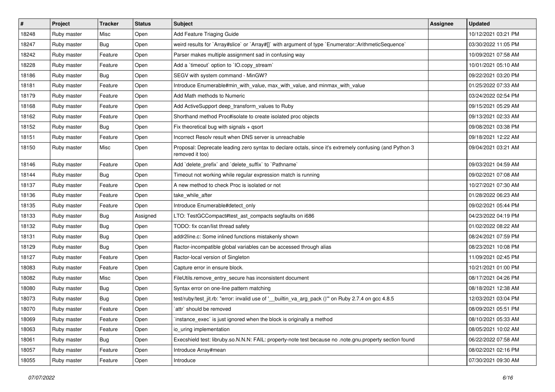| #     | Project     | <b>Tracker</b> | <b>Status</b> | <b>Subject</b>                                                                                                             | <b>Assignee</b> | <b>Updated</b>      |
|-------|-------------|----------------|---------------|----------------------------------------------------------------------------------------------------------------------------|-----------------|---------------------|
| 18248 | Ruby master | Misc           | Open          | Add Feature Triaging Guide                                                                                                 |                 | 10/12/2021 03:21 PM |
| 18247 | Ruby master | Bug            | Open          | weird results for `Array#slice` or `Array#[]` with argument of type `Enumerator::ArithmeticSequence`                       |                 | 03/30/2022 11:05 PM |
| 18242 | Ruby master | Feature        | Open          | Parser makes multiple assignment sad in confusing way                                                                      |                 | 10/09/2021 07:58 AM |
| 18228 | Ruby master | Feature        | Open          | Add a 'timeout' option to 'IO.copy_stream'                                                                                 |                 | 10/01/2021 05:10 AM |
| 18186 | Ruby master | Bug            | Open          | SEGV with system command - MinGW?                                                                                          |                 | 09/22/2021 03:20 PM |
| 18181 | Ruby master | Feature        | Open          | Introduce Enumerable#min_with_value, max_with_value, and minmax_with_value                                                 |                 | 01/25/2022 07:33 AM |
| 18179 | Ruby master | Feature        | Open          | Add Math methods to Numeric                                                                                                |                 | 03/24/2022 02:54 PM |
| 18168 | Ruby master | Feature        | Open          | Add ActiveSupport deep_transform_values to Ruby                                                                            |                 | 09/15/2021 05:29 AM |
| 18162 | Ruby master | Feature        | Open          | Shorthand method Proc#isolate to create isolated proc objects                                                              |                 | 09/13/2021 02:33 AM |
| 18152 | Ruby master | Bug            | Open          | Fix theoretical bug with signals + qsort                                                                                   |                 | 09/08/2021 03:38 PM |
| 18151 | Ruby master | Feature        | Open          | Incorrect Resolv result when DNS server is unreachable                                                                     |                 | 09/18/2021 12:22 AM |
| 18150 | Ruby master | Misc           | Open          | Proposal: Deprecate leading zero syntax to declare octals, since it's extremely confusing (and Python 3<br>removed it too) |                 | 09/04/2021 03:21 AM |
| 18146 | Ruby master | Feature        | Open          | Add 'delete_prefix' and 'delete_suffix' to 'Pathname'                                                                      |                 | 09/03/2021 04:59 AM |
| 18144 | Ruby master | Bug            | Open          | Timeout not working while regular expression match is running                                                              |                 | 09/02/2021 07:08 AM |
| 18137 | Ruby master | Feature        | Open          | A new method to check Proc is isolated or not                                                                              |                 | 10/27/2021 07:30 AM |
| 18136 | Ruby master | Feature        | Open          | take_while_after                                                                                                           |                 | 01/28/2022 06:23 AM |
| 18135 | Ruby master | Feature        | Open          | Introduce Enumerable#detect only                                                                                           |                 | 09/02/2021 05:44 PM |
| 18133 | Ruby master | Bug            | Assigned      | LTO: TestGCCompact#test_ast_compacts segfaults on i686                                                                     |                 | 04/23/2022 04:19 PM |
| 18132 | Ruby master | Bug            | Open          | TODO: fix ccan/list thread safety                                                                                          |                 | 01/02/2022 08:22 AM |
| 18131 | Ruby master | Bug            | Open          | addr2line.c: Some inlined functions mistakenly shown                                                                       |                 | 08/24/2021 07:59 PM |
| 18129 | Ruby master | <b>Bug</b>     | Open          | Ractor-incompatible global variables can be accessed through alias                                                         |                 | 08/23/2021 10:08 PM |
| 18127 | Ruby master | Feature        | Open          | Ractor-local version of Singleton                                                                                          |                 | 11/09/2021 02:45 PM |
| 18083 | Ruby master | Feature        | Open          | Capture error in ensure block.                                                                                             |                 | 10/21/2021 01:00 PM |
| 18082 | Ruby master | Misc           | Open          | FileUtils.remove_entry_secure has inconsistent document                                                                    |                 | 08/17/2021 04:26 PM |
| 18080 | Ruby master | <b>Bug</b>     | Open          | Syntax error on one-line pattern matching                                                                                  |                 | 08/18/2021 12:38 AM |
| 18073 | Ruby master | Bug            | Open          | test/ruby/test_jit.rb: "error: invalid use of ' builtin_va_arg_pack ()" on Ruby 2.7.4 on gcc 4.8.5                         |                 | 12/03/2021 03:04 PM |
| 18070 | Ruby master | Feature        | Open          | attr` should be removed                                                                                                    |                 | 08/09/2021 05:51 PM |
| 18069 | Ruby master | Feature        | Open          | instance_exec` is just ignored when the block is originally a method                                                       |                 | 08/10/2021 05:33 AM |
| 18063 | Ruby master | Feature        | Open          | io uring implementation                                                                                                    |                 | 08/05/2021 10:02 AM |
| 18061 | Ruby master | Bug            | Open          | Execshield test: libruby.so.N.N.N: FAIL: property-note test because no .note.gnu.property section found                    |                 | 06/22/2022 07:58 AM |
| 18057 | Ruby master | Feature        | Open          | Introduce Array#mean                                                                                                       |                 | 08/02/2021 02:16 PM |
| 18055 | Ruby master | Feature        | Open          | Introduce                                                                                                                  |                 | 07/30/2021 09:30 AM |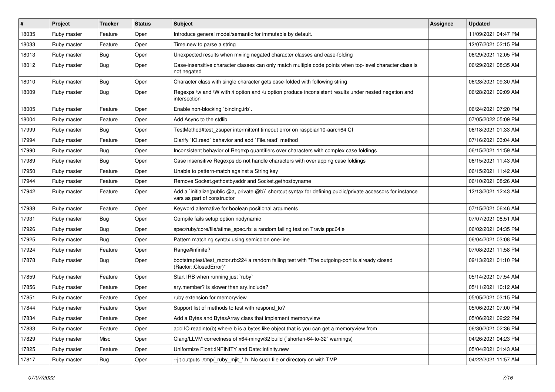| $\vert$ # | Project     | <b>Tracker</b> | <b>Status</b> | Subject                                                                                                                                     | Assignee | <b>Updated</b>      |
|-----------|-------------|----------------|---------------|---------------------------------------------------------------------------------------------------------------------------------------------|----------|---------------------|
| 18035     | Ruby master | Feature        | Open          | Introduce general model/semantic for immutable by default.                                                                                  |          | 11/09/2021 04:47 PM |
| 18033     | Ruby master | Feature        | Open          | Time.new to parse a string                                                                                                                  |          | 12/07/2021 02:15 PM |
| 18013     | Ruby master | <b>Bug</b>     | Open          | Unexpected results when mxiing negated character classes and case-folding                                                                   |          | 06/29/2021 12:05 PM |
| 18012     | Ruby master | Bug            | Open          | Case-insensitive character classes can only match multiple code points when top-level character class is<br>not negated                     |          | 06/29/2021 08:35 AM |
| 18010     | Ruby master | <b>Bug</b>     | Open          | Character class with single character gets case-folded with following string                                                                |          | 06/28/2021 09:30 AM |
| 18009     | Ruby master | Bug            | Open          | Regexps \w and \W with /i option and /u option produce inconsistent results under nested negation and<br>intersection                       |          | 06/28/2021 09:09 AM |
| 18005     | Ruby master | Feature        | Open          | Enable non-blocking 'binding.irb'.                                                                                                          |          | 06/24/2021 07:20 PM |
| 18004     | Ruby master | Feature        | Open          | Add Async to the stdlib                                                                                                                     |          | 07/05/2022 05:09 PM |
| 17999     | Ruby master | Bug            | Open          | TestMethod#test zsuper intermittent timeout error on raspbian10-aarch64 CI                                                                  |          | 06/18/2021 01:33 AM |
| 17994     | Ruby master | Feature        | Open          | Clarify 'IO.read' behavior and add 'File.read' method                                                                                       |          | 07/16/2021 03:04 AM |
| 17990     | Ruby master | <b>Bug</b>     | Open          | Inconsistent behavior of Regexp quantifiers over characters with complex case foldings                                                      |          | 06/15/2021 11:59 AM |
| 17989     | Ruby master | Bug            | Open          | Case insensitive Regexps do not handle characters with overlapping case foldings                                                            |          | 06/15/2021 11:43 AM |
| 17950     | Ruby master | Feature        | Open          | Unable to pattern-match against a String key                                                                                                |          | 06/15/2021 11:42 AM |
| 17944     | Ruby master | Feature        | Open          | Remove Socket.gethostbyaddr and Socket.gethostbyname                                                                                        |          | 06/10/2021 08:26 AM |
| 17942     | Ruby master | Feature        | Open          | Add a `initialize(public @a, private @b)` shortcut syntax for defining public/private accessors for instance<br>vars as part of constructor |          | 12/13/2021 12:43 AM |
| 17938     | Ruby master | Feature        | Open          | Keyword alternative for boolean positional arguments                                                                                        |          | 07/15/2021 06:46 AM |
| 17931     | Ruby master | <b>Bug</b>     | Open          | Compile fails setup option nodynamic                                                                                                        |          | 07/07/2021 08:51 AM |
| 17926     | Ruby master | Bug            | Open          | spec/ruby/core/file/atime_spec.rb: a random failing test on Travis ppc64le                                                                  |          | 06/02/2021 04:35 PM |
| 17925     | Ruby master | Bug            | Open          | Pattern matching syntax using semicolon one-line                                                                                            |          | 06/04/2021 03:08 PM |
| 17924     | Ruby master | Feature        | Open          | Range#infinite?                                                                                                                             |          | 07/08/2021 11:58 PM |
| 17878     | Ruby master | <b>Bug</b>     | Open          | bootstraptest/test_ractor.rb:224 a random failing test with "The outgoing-port is already closed<br>(Ractor::ClosedError)"                  |          | 09/13/2021 01:10 PM |
| 17859     | Ruby master | Feature        | Open          | Start IRB when running just `ruby`                                                                                                          |          | 05/14/2021 07:54 AM |
| 17856     | Ruby master | Feature        | Open          | ary.member? is slower than ary.include?                                                                                                     |          | 05/11/2021 10:12 AM |
| 17851     | Ruby master | Feature        | Open          | ruby extension for memoryview                                                                                                               |          | 05/05/2021 03:15 PM |
| 17844     | Ruby master | Feature        | Open          | Support list of methods to test with respond to?                                                                                            |          | 05/06/2021 07:00 PM |
| 17834     | Ruby master | Feature        | Open          | Add a Bytes and BytesArray class that implement memoryview                                                                                  |          | 05/06/2021 02:22 PM |
| 17833     | Ruby master | Feature        | Open          | add IO.readinto(b) where b is a bytes like object that is you can get a memoryview from                                                     |          | 06/30/2021 02:36 PM |
| 17829     | Ruby master | Misc           | Open          | Clang/LLVM correctness of x64-mingw32 build (`shorten-64-to-32` warnings)                                                                   |          | 04/26/2021 04:23 PM |
| 17825     | Ruby master | Feature        | Open          | Uniformize Float::INFINITY and Date::infinity.new                                                                                           |          | 05/04/2021 01:43 AM |
| 17817     | Ruby master | <b>Bug</b>     | Open          | --jit outputs ./tmp/_ruby_mjit_*.h: No such file or directory on with TMP                                                                   |          | 04/22/2021 11:57 AM |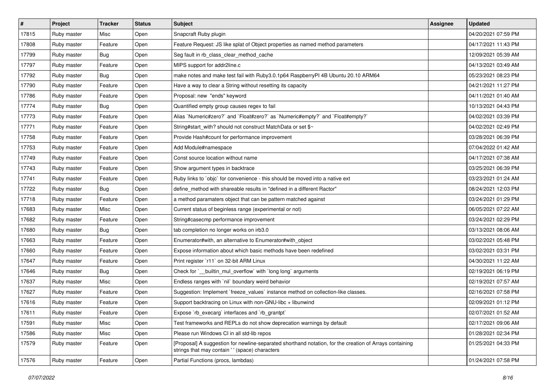| $\vert$ # | Project     | <b>Tracker</b> | <b>Status</b> | Subject                                                                                                                                                   | <b>Assignee</b> | <b>Updated</b>      |
|-----------|-------------|----------------|---------------|-----------------------------------------------------------------------------------------------------------------------------------------------------------|-----------------|---------------------|
| 17815     | Ruby master | Misc           | Open          | Snapcraft Ruby plugin                                                                                                                                     |                 | 04/20/2021 07:59 PM |
| 17808     | Ruby master | Feature        | Open          | Feature Request: JS like splat of Object properties as named method parameters                                                                            |                 | 04/17/2021 11:43 PM |
| 17799     | Ruby master | Bug            | Open          | Seg fault in rb_class_clear_method_cache                                                                                                                  |                 | 12/09/2021 05:39 AM |
| 17797     | Ruby master | Feature        | Open          | MIPS support for addr2line.c                                                                                                                              |                 | 04/13/2021 03:49 AM |
| 17792     | Ruby master | Bug            | Open          | make notes and make test fail with Ruby3.0.1p64 RaspberryPI 4B Ubuntu 20.10 ARM64                                                                         |                 | 05/23/2021 08:23 PM |
| 17790     | Ruby master | Feature        | Open          | Have a way to clear a String without resetting its capacity                                                                                               |                 | 04/21/2021 11:27 PM |
| 17786     | Ruby master | Feature        | Open          | Proposal: new "ends" keyword                                                                                                                              |                 | 04/11/2021 01:40 AM |
| 17774     | Ruby master | Bug            | Open          | Quantified empty group causes regex to fail                                                                                                               |                 | 10/13/2021 04:43 PM |
| 17773     | Ruby master | Feature        | Open          | Alias `Numeric#zero?` and `Float#zero?` as `Numeric#empty?` and `Float#empty?`                                                                            |                 | 04/02/2021 03:39 PM |
| 17771     | Ruby master | Feature        | Open          | String#start_with? should not construct MatchData or set \$~                                                                                              |                 | 04/02/2021 02:49 PM |
| 17758     | Ruby master | Feature        | Open          | Provide Hash#count for performance improvement                                                                                                            |                 | 03/28/2021 06:39 PM |
| 17753     | Ruby master | Feature        | Open          | Add Module#namespace                                                                                                                                      |                 | 07/04/2022 01:42 AM |
| 17749     | Ruby master | Feature        | Open          | Const source location without name                                                                                                                        |                 | 04/17/2021 07:38 AM |
| 17743     | Ruby master | Feature        | Open          | Show argument types in backtrace                                                                                                                          |                 | 03/25/2021 06:39 PM |
| 17741     | Ruby master | Feature        | Open          | Ruby links to `objc` for convenience - this should be moved into a native ext                                                                             |                 | 03/23/2021 01:24 AM |
| 17722     | Ruby master | Bug            | Open          | define_method with shareable results in "defined in a different Ractor"                                                                                   |                 | 08/24/2021 12:03 PM |
| 17718     | Ruby master | Feature        | Open          | a method paramaters object that can be pattern matched against                                                                                            |                 | 03/24/2021 01:29 PM |
| 17683     | Ruby master | Misc           | Open          | Current status of beginless range (experimental or not)                                                                                                   |                 | 06/05/2021 07:22 AM |
| 17682     | Ruby master | Feature        | Open          | String#casecmp performance improvement                                                                                                                    |                 | 03/24/2021 02:29 PM |
| 17680     | Ruby master | Bug            | Open          | tab completion no longer works on irb3.0                                                                                                                  |                 | 03/13/2021 08:06 AM |
| 17663     | Ruby master | Feature        | Open          | Enumerator#with, an alternative to Enumerator#with object                                                                                                 |                 | 03/02/2021 05:48 PM |
| 17660     | Ruby master | Feature        | Open          | Expose information about which basic methods have been redefined                                                                                          |                 | 03/02/2021 03:31 PM |
| 17647     | Ruby master | Feature        | Open          | Print register `r11` on 32-bit ARM Linux                                                                                                                  |                 | 04/30/2021 11:22 AM |
| 17646     | Ruby master | Bug            | Open          | Check for `__builtin_mul_overflow` with `long long` arguments                                                                                             |                 | 02/19/2021 06:19 PM |
| 17637     | Ruby master | Misc           | Open          | Endless ranges with 'nil' boundary weird behavior                                                                                                         |                 | 02/19/2021 07:57 AM |
| 17627     | Ruby master | Feature        | Open          | Suggestion: Implement `freeze_values` instance method on collection-like classes.                                                                         |                 | 02/16/2021 07:58 PM |
| 17616     | Ruby master | Feature        | Open          | Support backtracing on Linux with non-GNU-libc + libunwind                                                                                                |                 | 02/09/2021 01:12 PM |
| 17611     | Ruby master | Feature        | Open          | Expose `rb_execarg` interfaces and `rb_grantpt`                                                                                                           |                 | 02/07/2021 01:52 AM |
| 17591     | Ruby master | Misc           | Open          | Test frameworks and REPLs do not show deprecation warnings by default                                                                                     |                 | 02/17/2021 09:06 AM |
| 17586     | Ruby master | Misc           | Open          | Please run Windows CI in all std-lib repos                                                                                                                |                 | 01/28/2021 02:34 PM |
| 17579     | Ruby master | Feature        | Open          | [Proposal] A suggestion for newline-separated shorthand notation, for the creation of Arrays containing<br>strings that may contain '' (space) characters |                 | 01/25/2021 04:33 PM |
| 17576     | Ruby master | Feature        | Open          | Partial Functions (procs, lambdas)                                                                                                                        |                 | 01/24/2021 07:58 PM |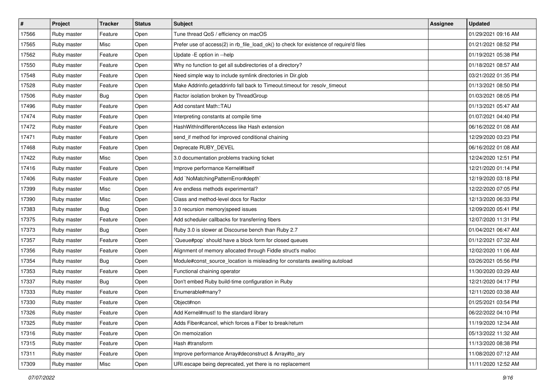| $\vert$ # | Project     | <b>Tracker</b> | <b>Status</b> | <b>Subject</b>                                                                         | <b>Assignee</b> | <b>Updated</b>      |
|-----------|-------------|----------------|---------------|----------------------------------------------------------------------------------------|-----------------|---------------------|
| 17566     | Ruby master | Feature        | Open          | Tune thread QoS / efficiency on macOS                                                  |                 | 01/29/2021 09:16 AM |
| 17565     | Ruby master | Misc           | Open          | Prefer use of access(2) in rb_file_load_ok() to check for existence of require'd files |                 | 01/21/2021 08:52 PM |
| 17562     | Ruby master | Feature        | Open          | Update - E option in --help                                                            |                 | 01/19/2021 05:38 PM |
| 17550     | Ruby master | Feature        | Open          | Why no function to get all subdirectories of a directory?                              |                 | 01/18/2021 08:57 AM |
| 17548     | Ruby master | Feature        | Open          | Need simple way to include symlink directories in Dir.glob                             |                 | 03/21/2022 01:35 PM |
| 17528     | Ruby master | Feature        | Open          | Make Addrinfo.getaddrinfo fall back to Timeout.timeout for :resolv_timeout             |                 | 01/13/2021 08:50 PM |
| 17506     | Ruby master | Bug            | Open          | Ractor isolation broken by ThreadGroup                                                 |                 | 01/03/2021 08:05 PM |
| 17496     | Ruby master | Feature        | Open          | Add constant Math::TAU                                                                 |                 | 01/13/2021 05:47 AM |
| 17474     | Ruby master | Feature        | Open          | Interpreting constants at compile time                                                 |                 | 01/07/2021 04:40 PM |
| 17472     | Ruby master | Feature        | Open          | HashWithIndifferentAccess like Hash extension                                          |                 | 06/16/2022 01:08 AM |
| 17471     | Ruby master | Feature        | Open          | send_if method for improved conditional chaining                                       |                 | 12/29/2020 03:23 PM |
| 17468     | Ruby master | Feature        | Open          | Deprecate RUBY_DEVEL                                                                   |                 | 06/16/2022 01:08 AM |
| 17422     | Ruby master | Misc           | Open          | 3.0 documentation problems tracking ticket                                             |                 | 12/24/2020 12:51 PM |
| 17416     | Ruby master | Feature        | Open          | Improve performance Kernel#itself                                                      |                 | 12/21/2020 01:14 PM |
| 17406     | Ruby master | Feature        | Open          | Add `NoMatchingPatternError#depth`                                                     |                 | 12/19/2020 03:18 PM |
| 17399     | Ruby master | Misc           | Open          | Are endless methods experimental?                                                      |                 | 12/22/2020 07:05 PM |
| 17390     | Ruby master | Misc           | Open          | Class and method-level docs for Ractor                                                 |                 | 12/13/2020 06:33 PM |
| 17383     | Ruby master | Bug            | Open          | 3.0 recursion memory speed issues                                                      |                 | 12/09/2020 05:41 PM |
| 17375     | Ruby master | Feature        | Open          | Add scheduler callbacks for transferring fibers                                        |                 | 12/07/2020 11:31 PM |
| 17373     | Ruby master | Bug            | Open          | Ruby 3.0 is slower at Discourse bench than Ruby 2.7                                    |                 | 01/04/2021 06:47 AM |
| 17357     | Ruby master | Feature        | Open          | Queue#pop`should have a block form for closed queues                                   |                 | 01/12/2021 07:32 AM |
| 17356     | Ruby master | Feature        | Open          | Alignment of memory allocated through Fiddle struct's malloc                           |                 | 12/02/2020 11:06 AM |
| 17354     | Ruby master | Bug            | Open          | Module#const_source_location is misleading for constants awaiting autoload             |                 | 03/26/2021 05:56 PM |
| 17353     | Ruby master | Feature        | Open          | Functional chaining operator                                                           |                 | 11/30/2020 03:29 AM |
| 17337     | Ruby master | Bug            | Open          | Don't embed Ruby build-time configuration in Ruby                                      |                 | 12/21/2020 04:17 PM |
| 17333     | Ruby master | Feature        | Open          | Enumerable#many?                                                                       |                 | 12/11/2020 03:38 AM |
| 17330     | Ruby master | Feature        | Open          | Object#non                                                                             |                 | 01/25/2021 03:54 PM |
| 17326     | Ruby master | Feature        | Open          | Add Kernel#must! to the standard library                                               |                 | 06/22/2022 04:10 PM |
| 17325     | Ruby master | Feature        | Open          | Adds Fiber#cancel, which forces a Fiber to break/return                                |                 | 11/19/2020 12:34 AM |
| 17316     | Ruby master | Feature        | Open          | On memoization                                                                         |                 | 05/13/2022 11:32 AM |
| 17315     | Ruby master | Feature        | Open          | Hash #transform                                                                        |                 | 11/13/2020 08:38 PM |
| 17311     | Ruby master | Feature        | Open          | Improve performance Array#deconstruct & Array#to ary                                   |                 | 11/08/2020 07:12 AM |
| 17309     | Ruby master | Misc           | Open          | URI.escape being deprecated, yet there is no replacement                               |                 | 11/11/2020 12:52 AM |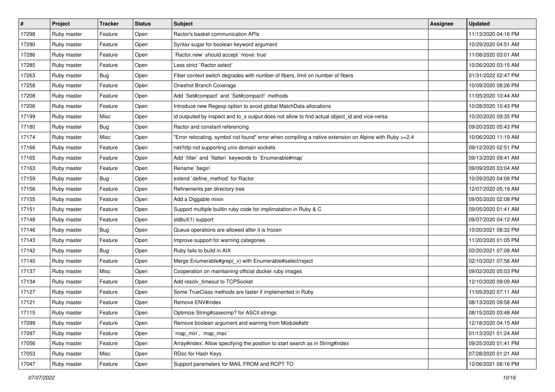| $\vert$ # | Project     | <b>Tracker</b> | <b>Status</b> | Subject                                                                                                | <b>Assignee</b> | <b>Updated</b>      |
|-----------|-------------|----------------|---------------|--------------------------------------------------------------------------------------------------------|-----------------|---------------------|
| 17298     | Ruby master | Feature        | Open          | Ractor's basket communication APIs                                                                     |                 | 11/13/2020 04:16 PM |
| 17290     | Ruby master | Feature        | Open          | Syntax sugar for boolean keyword argument                                                              |                 | 10/29/2020 04:51 AM |
| 17286     | Ruby master | Feature        | Open          | 'Ractor.new' should accept 'move: true'                                                                |                 | 11/08/2020 03:01 AM |
| 17285     | Ruby master | Feature        | Open          | Less strict `Ractor.select`                                                                            |                 | 10/26/2020 03:15 AM |
| 17263     | Ruby master | Bug            | Open          | Fiber context switch degrades with number of fibers, limit on number of fibers                         |                 | 01/31/2022 02:47 PM |
| 17258     | Ruby master | Feature        | Open          | Oneshot Branch Coverage                                                                                |                 | 10/09/2020 08:26 PM |
| 17208     | Ruby master | Feature        | Open          | Add `Set#compact` and `Set#compact!` methods                                                           |                 | 11/05/2020 10:44 AM |
| 17206     | Ruby master | Feature        | Open          | Introduce new Regexp option to avoid global MatchData allocations                                      |                 | 10/28/2020 10:43 PM |
| 17199     | Ruby master | Misc           | Open          | id outputed by inspect and to_s output does not allow to find actual object_id and vice-versa          |                 | 10/20/2020 09:35 PM |
| 17180     | Ruby master | Bug            | Open          | Ractor and constant referencing                                                                        |                 | 09/20/2020 05:43 PM |
| 17174     | Ruby master | Misc           | Open          | Error relocating, symbol not found" error when compiling a native extension on Alpine with Ruby >=2.4" |                 | 10/06/2020 11:19 AM |
| 17166     | Ruby master | Feature        | Open          | net/http not supporting unix domain sockets                                                            |                 | 09/12/2020 02:51 PM |
| 17165     | Ruby master | Feature        | Open          | Add 'filter' and 'flatten' keywords to 'Enumerable#map'                                                |                 | 09/13/2020 09:41 AM |
| 17163     | Ruby master | Feature        | Open          | Rename `begin`                                                                                         |                 | 09/09/2020 03:04 AM |
| 17159     | Ruby master | Bug            | Open          | extend 'define_method' for Ractor                                                                      |                 | 10/29/2020 04:06 PM |
| 17156     | Ruby master | Feature        | Open          | Refinements per directory tree                                                                         |                 | 12/07/2020 05:19 AM |
| 17155     | Ruby master | Feature        | Open          | Add a Diggable mixin                                                                                   |                 | 09/05/2020 02:08 PM |
| 17151     | Ruby master | Feature        | Open          | Support multiple builtin ruby code for implimatation in Ruby & C                                       |                 | 09/05/2020 01:41 AM |
| 17148     | Ruby master | Feature        | Open          | stdbuf(1) support                                                                                      |                 | 09/07/2020 04:12 AM |
| 17146     | Ruby master | Bug            | Open          | Queue operations are allowed after it is frozen                                                        |                 | 10/20/2021 08:32 PM |
| 17143     | Ruby master | Feature        | Open          | Improve support for warning categories                                                                 |                 | 11/20/2020 01:05 PM |
| 17142     | Ruby master | Bug            | Open          | Ruby fails to build in AIX                                                                             |                 | 03/20/2021 07:08 AM |
| 17140     | Ruby master | Feature        | Open          | Merge Enumerable#grep(_v) with Enumerable#select/reject                                                |                 | 02/10/2021 07:56 AM |
| 17137     | Ruby master | Misc           | Open          | Cooperation on maintaining official docker ruby images                                                 |                 | 09/02/2020 05:03 PM |
| 17134     | Ruby master | Feature        | Open          | Add resolv_timeout to TCPSocket                                                                        |                 | 12/10/2020 09:09 AM |
| 17127     | Ruby master | Feature        | Open          | Some TrueClass methods are faster if implemented in Ruby                                               |                 | 11/05/2020 07:11 AM |
| 17121     | Ruby master | Feature        | Open          | Remove ENV#index                                                                                       |                 | 08/13/2020 09:58 AM |
| 17115     | Ruby master | Feature        | Open          | Optimize String#casecmp? for ASCII strings                                                             |                 | 08/15/2020 03:48 AM |
| 17099     | Ruby master | Feature        | Open          | Remove boolean argument and warning from Module#attr                                                   |                 | 12/18/2020 04:15 AM |
| 17097     | Ruby master | Feature        | Open          | `map_min`, `map_max`                                                                                   |                 | 01/13/2021 01:24 AM |
| 17056     | Ruby master | Feature        | Open          | Array#index: Allow specifying the position to start search as in String#index                          |                 | 09/25/2020 01:41 PM |
| 17053     | Ruby master | Misc           | Open          | RDoc for Hash Keys                                                                                     |                 | 07/28/2020 01:21 AM |
| 17047     | Ruby master | Feature        | Open          | Support parameters for MAIL FROM and RCPT TO                                                           |                 | 12/06/2021 08:16 PM |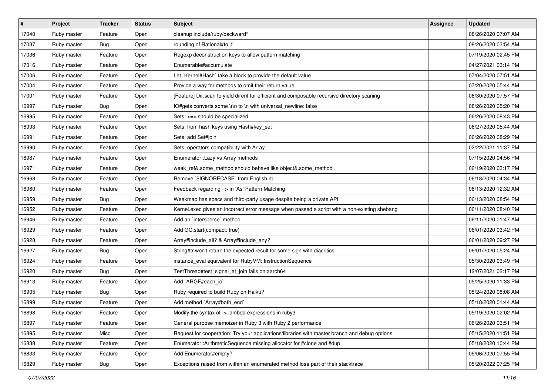| #     | <b>Project</b> | <b>Tracker</b> | <b>Status</b> | <b>Subject</b>                                                                                | Assignee | <b>Updated</b>      |
|-------|----------------|----------------|---------------|-----------------------------------------------------------------------------------------------|----------|---------------------|
| 17040 | Ruby master    | Feature        | Open          | cleanup include/ruby/backward*                                                                |          | 08/26/2020 07:07 AM |
| 17037 | Ruby master    | <b>Bug</b>     | Open          | rounding of Rational#to_f                                                                     |          | 08/26/2020 03:54 AM |
| 17036 | Ruby master    | Feature        | Open          | Regexp deconstruction keys to allow pattern matching                                          |          | 07/19/2020 02:45 PM |
| 17016 | Ruby master    | Feature        | Open          | Enumerable#accumulate                                                                         |          | 04/27/2021 03:14 PM |
| 17006 | Ruby master    | Feature        | Open          | Let `Kernel#Hash` take a block to provide the default value                                   |          | 07/04/2020 07:51 AM |
| 17004 | Ruby master    | Feature        | Open          | Provide a way for methods to omit their return value                                          |          | 07/20/2020 05:44 AM |
| 17001 | Ruby master    | Feature        | Open          | [Feature] Dir.scan to yield dirent for efficient and composable recursive directory scaning   |          | 06/30/2020 07:57 PM |
| 16997 | Ruby master    | <b>Bug</b>     | Open          | IO#gets converts some \r\n to \n with universal_newline: false                                |          | 08/26/2020 05:20 PM |
| 16995 | Ruby master    | Feature        | Open          | Sets: <=> should be specialized                                                               |          | 06/26/2020 08:43 PM |
| 16993 | Ruby master    | Feature        | Open          | Sets: from hash keys using Hash#key_set                                                       |          | 06/27/2020 05:44 AM |
| 16991 | Ruby master    | Feature        | Open          | Sets: add Set#join                                                                            |          | 06/26/2020 08:29 PM |
| 16990 | Ruby master    | Feature        | Open          | Sets: operators compatibility with Array                                                      |          | 02/22/2021 11:37 PM |
| 16987 | Ruby master    | Feature        | Open          | Enumerator::Lazy vs Array methods                                                             |          | 07/15/2020 04:56 PM |
| 16971 | Ruby master    | Feature        | Open          | weak_ref&.some_method should behave like object&.some_method                                  |          | 06/19/2020 03:17 PM |
| 16968 | Ruby master    | Feature        | Open          | Remove `\$IGNORECASE` from English.rb                                                         |          | 06/18/2020 04:34 AM |
| 16960 | Ruby master    | Feature        | Open          | Feedback regarding => in 'As' Pattern Matching                                                |          | 06/13/2020 12:32 AM |
| 16959 | Ruby master    | <b>Bug</b>     | Open          | Weakmap has specs and third-party usage despite being a private API                           |          | 06/13/2020 08:54 PM |
| 16952 | Ruby master    | Feature        | Open          | Kernel.exec gives an incorrect error message when passed a script with a non-existing shebang |          | 06/11/2020 08:40 PM |
| 16946 | Ruby master    | Feature        | Open          | Add an `intersperse` method                                                                   |          | 06/11/2020 01:47 AM |
| 16929 | Ruby master    | Feature        | Open          | Add GC.start(compact: true)                                                                   |          | 06/01/2020 03:42 PM |
| 16928 | Ruby master    | Feature        | Open          | Array#include_all? & Array#include_any?                                                       |          | 06/01/2020 09:27 PM |
| 16927 | Ruby master    | <b>Bug</b>     | Open          | String#tr won't return the expected result for some sign with diacritics                      |          | 06/01/2020 05:24 AM |
| 16924 | Ruby master    | Feature        | Open          | instance_eval equivalent for RubyVM::InstructionSequence                                      |          | 05/30/2020 03:49 PM |
| 16920 | Ruby master    | <b>Bug</b>     | Open          | TestThread#test_signal_at_join fails on aarch64                                               |          | 12/07/2021 02:17 PM |
| 16913 | Ruby master    | Feature        | Open          | Add `ARGF#each io`                                                                            |          | 05/25/2020 11:33 PM |
| 16905 | Ruby master    | <b>Bug</b>     | Open          | Ruby required to build Ruby on Haiku?                                                         |          | 05/24/2020 08:08 AM |
| 16899 | Ruby master    | Feature        | Open          | Add method `Array#both_end`                                                                   |          | 05/18/2020 01:44 AM |
| 16898 | Ruby master    | Feature        | Open          | Modify the syntax of -> lambda expressions in ruby3                                           |          | 05/19/2020 02:02 AM |
| 16897 | Ruby master    | Feature        | Open          | General purpose memoizer in Ruby 3 with Ruby 2 performance                                    |          | 06/26/2020 03:51 PM |
| 16895 | Ruby master    | Misc           | Open          | Request for cooperation: Try your applications/libraries with master branch and debug options |          | 05/15/2020 11:51 PM |
| 16838 | Ruby master    | Feature        | Open          | Enumerator::ArithmeticSequence missing allocator for #clone and #dup                          |          | 05/18/2020 10:44 PM |
| 16833 | Ruby master    | Feature        | Open          | Add Enumerator#empty?                                                                         |          | 05/06/2020 07:55 PM |
| 16829 | Ruby master    | Bug            | Open          | Exceptions raised from within an enumerated method lose part of their stacktrace              |          | 05/20/2022 07:25 PM |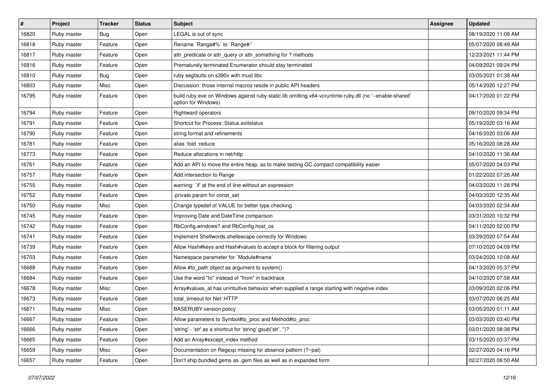| $\vert$ # | Project     | <b>Tracker</b> | <b>Status</b> | Subject                                                                                                                        | <b>Assignee</b> | <b>Updated</b>      |
|-----------|-------------|----------------|---------------|--------------------------------------------------------------------------------------------------------------------------------|-----------------|---------------------|
| 16820     | Ruby master | Bug            | Open          | LEGAL is out of sync                                                                                                           |                 | 08/19/2020 11:08 AM |
| 16818     | Ruby master | Feature        | Open          | Rename `Range#%` to `Range#/`                                                                                                  |                 | 05/07/2020 08:49 AM |
| 16817     | Ruby master | Feature        | Open          | attr_predicate or attr_query or attr_something for ? methods                                                                   |                 | 12/23/2021 11:44 PM |
| 16816     | Ruby master | Feature        | Open          | Prematurely terminated Enumerator should stay terminated                                                                       |                 | 04/09/2021 09:24 PM |
| 16810     | Ruby master | Bug            | Open          | ruby segfaults on s390x with musl libc                                                                                         |                 | 03/05/2021 01:38 AM |
| 16803     | Ruby master | Misc           | Open          | Discussion: those internal macros reside in public API headers                                                                 |                 | 05/14/2020 12:27 PM |
| 16795     | Ruby master | Feature        | Open          | build ruby.exe on Windows against ruby-static.lib omitting x64-vcruntime-ruby.dll (no '--enable-shared'<br>option for Windows) |                 | 04/17/2020 01:22 PM |
| 16794     | Ruby master | Feature        | Open          | Rightward operators                                                                                                            |                 | 09/10/2020 09:34 PM |
| 16791     | Ruby master | Feature        | Open          | Shortcut for Process::Status.exitstatus                                                                                        |                 | 05/19/2020 03:16 AM |
| 16790     | Ruby master | Feature        | Open          | string format and refinements                                                                                                  |                 | 04/16/2020 03:06 AM |
| 16781     | Ruby master | Feature        | Open          | alias :fold :reduce                                                                                                            |                 | 05/16/2020 08:28 AM |
| 16773     | Ruby master | Feature        | Open          | Reduce allocations in net/http                                                                                                 |                 | 04/10/2020 11:36 AM |
| 16761     | Ruby master | Feature        | Open          | Add an API to move the entire heap, as to make testing GC.compact compatibility easier                                         |                 | 05/07/2020 04:03 PM |
| 16757     | Ruby master | Feature        | Open          | Add intersection to Range                                                                                                      |                 | 01/22/2022 07:26 AM |
| 16755     | Ruby master | Feature        | Open          | warning: `if' at the end of line without an expression                                                                         |                 | 04/03/2020 11:28 PM |
| 16752     | Ruby master | Feature        | Open          | :private param for const_set                                                                                                   |                 | 04/03/2020 12:35 AM |
| 16750     | Ruby master | Misc           | Open          | Change typedef of VALUE for better type checking                                                                               |                 | 04/03/2020 02:34 AM |
| 16745     | Ruby master | Feature        | Open          | Improving Date and DateTime comparison                                                                                         |                 | 03/31/2020 10:32 PM |
| 16742     | Ruby master | Feature        | Open          | RbConfig.windows? and RbConfig.host_os                                                                                         |                 | 04/11/2020 02:00 PM |
| 16741     | Ruby master | Feature        | Open          | Implement Shellwords.shellescape correctly for Windows                                                                         |                 | 03/29/2020 07:54 AM |
| 16739     | Ruby master | Feature        | Open          | Allow Hash#keys and Hash#values to accept a block for filtering output                                                         |                 | 07/10/2020 04:09 PM |
| 16703     | Ruby master | Feature        | Open          | Namespace parameter for `Module#name`                                                                                          |                 | 03/24/2020 10:08 AM |
| 16688     | Ruby master | Feature        | Open          | Allow #to_path object as argument to system()                                                                                  |                 | 04/13/2020 05:37 PM |
| 16684     | Ruby master | Feature        | Open          | Use the word "to" instead of "from" in backtrace                                                                               |                 | 04/10/2020 07:58 AM |
| 16678     | Ruby master | Misc           | Open          | Array#values_at has unintuitive behavior when supplied a range starting with negative index                                    |                 | 03/09/2020 02:06 PM |
| 16673     | Ruby master | Feature        | Open          | total_timeout for Net::HTTP                                                                                                    |                 | 03/07/2020 06:25 AM |
| 16671     | Ruby master | Misc           | Open          | <b>BASERUBY</b> version policy                                                                                                 |                 | 03/05/2020 01:11 AM |
| 16667     | Ruby master | Feature        | Open          | Allow parameters to Symbol#to_proc and Method#to_proc                                                                          |                 | 03/03/2020 03:40 PM |
| 16666     | Ruby master | Feature        | Open          | 'string' - 'str' as a shortcut for 'string'.gsub('str', ")?                                                                    |                 | 03/01/2020 08:38 PM |
| 16665     | Ruby master | Feature        | Open          | Add an Array#except_index method                                                                                               |                 | 03/15/2020 03:37 PM |
| 16659     | Ruby master | Misc           | Open          | Documentation on Regexp missing for absence pattern (?~pat)                                                                    |                 | 02/27/2020 04:16 PM |
| 16657     | Ruby master | Feature        | Open          | Don't ship bundled gems as .gem files as well as in expanded form                                                              |                 | 02/27/2020 06:50 AM |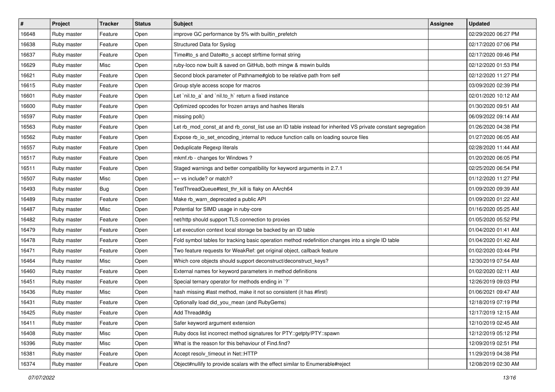| $\vert$ # | Project     | <b>Tracker</b> | <b>Status</b> | <b>Subject</b>                                                                                              | Assignee | <b>Updated</b>      |
|-----------|-------------|----------------|---------------|-------------------------------------------------------------------------------------------------------------|----------|---------------------|
| 16648     | Ruby master | Feature        | Open          | improve GC performance by 5% with builtin_prefetch                                                          |          | 02/29/2020 06:27 PM |
| 16638     | Ruby master | Feature        | Open          | Structured Data for Syslog                                                                                  |          | 02/17/2020 07:06 PM |
| 16637     | Ruby master | Feature        | Open          | Time#to_s and Date#to_s accept strftime format string                                                       |          | 02/17/2020 09:46 PM |
| 16629     | Ruby master | Misc           | Open          | ruby-loco now built & saved on GitHub, both mingw & mswin builds                                            |          | 02/12/2020 01:53 PM |
| 16621     | Ruby master | Feature        | Open          | Second block parameter of Pathname#glob to be relative path from self                                       |          | 02/12/2020 11:27 PM |
| 16615     | Ruby master | Feature        | Open          | Group style access scope for macros                                                                         |          | 03/09/2020 02:39 PM |
| 16601     | Ruby master | Feature        | Open          | Let `nil.to_a` and `nil.to_h` return a fixed instance                                                       |          | 02/01/2020 10:12 AM |
| 16600     | Ruby master | Feature        | Open          | Optimized opcodes for frozen arrays and hashes literals                                                     |          | 01/30/2020 09:51 AM |
| 16597     | Ruby master | Feature        | Open          | missing poll()                                                                                              |          | 06/09/2022 09:14 AM |
| 16563     | Ruby master | Feature        | Open          | Let rb_mod_const_at and rb_const_list use an ID table instead for inherited VS private constant segregation |          | 01/26/2020 04:38 PM |
| 16562     | Ruby master | Feature        | Open          | Expose rb_io_set_encoding_internal to reduce function calls on loading source files                         |          | 01/27/2020 06:05 AM |
| 16557     | Ruby master | Feature        | Open          | Deduplicate Regexp literals                                                                                 |          | 02/28/2020 11:44 AM |
| 16517     | Ruby master | Feature        | Open          | mkmf.rb - changes for Windows?                                                                              |          | 01/20/2020 06:05 PM |
| 16511     | Ruby master | Feature        | Open          | Staged warnings and better compatibility for keyword arguments in 2.7.1                                     |          | 02/25/2020 06:54 PM |
| 16507     | Ruby master | Misc           | Open          | $=$ vs include? or match?                                                                                   |          | 01/12/2020 11:27 PM |
| 16493     | Ruby master | <b>Bug</b>     | Open          | TestThreadQueue#test_thr_kill is flaky on AArch64                                                           |          | 01/09/2020 09:39 AM |
| 16489     | Ruby master | Feature        | Open          | Make rb_warn_deprecated a public API                                                                        |          | 01/09/2020 01:22 AM |
| 16487     | Ruby master | Misc           | Open          | Potential for SIMD usage in ruby-core                                                                       |          | 01/16/2020 05:25 AM |
| 16482     | Ruby master | Feature        | Open          | net/http should support TLS connection to proxies                                                           |          | 01/05/2020 05:52 PM |
| 16479     | Ruby master | Feature        | Open          | Let execution context local storage be backed by an ID table                                                |          | 01/04/2020 01:41 AM |
| 16478     | Ruby master | Feature        | Open          | Fold symbol tables for tracking basic operation method redefinition changes into a single ID table          |          | 01/04/2020 01:42 AM |
| 16471     | Ruby master | Feature        | Open          | Two feature requests for WeakRef: get original object, callback feature                                     |          | 01/02/2020 03:44 PM |
| 16464     | Ruby master | Misc           | Open          | Which core objects should support deconstruct/deconstruct_keys?                                             |          | 12/30/2019 07:54 AM |
| 16460     | Ruby master | Feature        | Open          | External names for keyword parameters in method definitions                                                 |          | 01/02/2020 02:11 AM |
| 16451     | Ruby master | Feature        | Open          | Special ternary operator for methods ending in `?`                                                          |          | 12/26/2019 09:03 PM |
| 16436     | Ruby master | Misc           | Open          | hash missing #last method, make it not so consistent (it has #first)                                        |          | 01/06/2021 09:47 AM |
| 16431     | Ruby master | Feature        | Open          | Optionally load did_you_mean (and RubyGems)                                                                 |          | 12/18/2019 07:19 PM |
| 16425     | Ruby master | Feature        | Open          | Add Thread#dig                                                                                              |          | 12/17/2019 12:15 AM |
| 16411     | Ruby master | Feature        | Open          | Safer keyword argument extension                                                                            |          | 12/10/2019 02:45 AM |
| 16408     | Ruby master | Misc           | Open          | Ruby docs list incorrect method signatures for PTY::getpty/PTY::spawn                                       |          | 12/12/2019 05:12 PM |
| 16396     | Ruby master | Misc           | Open          | What is the reason for this behaviour of Find.find?                                                         |          | 12/09/2019 02:51 PM |
| 16381     | Ruby master | Feature        | Open          | Accept resolv timeout in Net::HTTP                                                                          |          | 11/29/2019 04:38 PM |
| 16374     | Ruby master | Feature        | Open          | Object#nullify to provide scalars with the effect similar to Enumerable#reject                              |          | 12/08/2019 02:30 AM |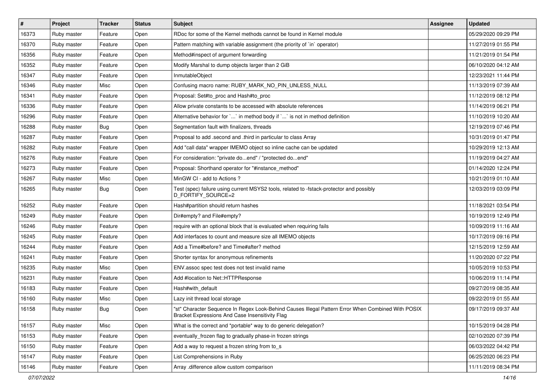| $\vert$ # | Project     | <b>Tracker</b> | <b>Status</b> | Subject                                                                                                                                               | Assignee | <b>Updated</b>      |
|-----------|-------------|----------------|---------------|-------------------------------------------------------------------------------------------------------------------------------------------------------|----------|---------------------|
| 16373     | Ruby master | Feature        | Open          | RDoc for some of the Kernel methods cannot be found in Kernel module                                                                                  |          | 05/29/2020 09:29 PM |
| 16370     | Ruby master | Feature        | Open          | Pattern matching with variable assignment (the priority of `in` operator)                                                                             |          | 11/27/2019 01:55 PM |
| 16356     | Ruby master | Feature        | Open          | Method#inspect of argument forwarding                                                                                                                 |          | 11/21/2019 01:54 PM |
| 16352     | Ruby master | Feature        | Open          | Modify Marshal to dump objects larger than 2 GiB                                                                                                      |          | 06/10/2020 04:12 AM |
| 16347     | Ruby master | Feature        | Open          | InmutableObject                                                                                                                                       |          | 12/23/2021 11:44 PM |
| 16346     | Ruby master | Misc           | Open          | Confusing macro name: RUBY MARK NO PIN UNLESS NULL                                                                                                    |          | 11/13/2019 07:39 AM |
| 16341     | Ruby master | Feature        | Open          | Proposal: Set#to_proc and Hash#to_proc                                                                                                                |          | 11/12/2019 08:12 PM |
| 16336     | Ruby master | Feature        | Open          | Allow private constants to be accessed with absolute references                                                                                       |          | 11/14/2019 06:21 PM |
| 16296     | Ruby master | Feature        | Open          | Alternative behavior for `` in method body if `' is not in method definition                                                                          |          | 11/10/2019 10:20 AM |
| 16288     | Ruby master | Bug            | Open          | Segmentation fault with finalizers, threads                                                                                                           |          | 12/19/2019 07:46 PM |
| 16287     | Ruby master | Feature        | Open          | Proposal to add .second and .third in particular to class Array                                                                                       |          | 10/31/2019 01:47 PM |
| 16282     | Ruby master | Feature        | Open          | Add "call data" wrapper IMEMO object so inline cache can be updated                                                                                   |          | 10/29/2019 12:13 AM |
| 16276     | Ruby master | Feature        | Open          | For consideration: "private doend" / "protected doend"                                                                                                |          | 11/19/2019 04:27 AM |
| 16273     | Ruby master | Feature        | Open          | Proposal: Shorthand operator for "#instance_method"                                                                                                   |          | 01/14/2020 12:24 PM |
| 16267     | Ruby master | Misc           | Open          | MinGW CI - add to Actions?                                                                                                                            |          | 10/21/2019 01:10 AM |
| 16265     | Ruby master | Bug            | Open          | Test (spec) failure using current MSYS2 tools, related to -fstack-protector and possibly<br>D_FORTIFY_SOURCE=2                                        |          | 12/03/2019 03:09 PM |
| 16252     | Ruby master | Feature        | Open          | Hash#partition should return hashes                                                                                                                   |          | 11/18/2021 03:54 PM |
| 16249     | Ruby master | Feature        | Open          | Dir#empty? and File#empty?                                                                                                                            |          | 10/19/2019 12:49 PM |
| 16246     | Ruby master | Feature        | Open          | require with an optional block that is evaluated when requiring fails                                                                                 |          | 10/09/2019 11:16 AM |
| 16245     | Ruby master | Feature        | Open          | Add interfaces to count and measure size all IMEMO objects                                                                                            |          | 10/17/2019 09:16 PM |
| 16244     | Ruby master | Feature        | Open          | Add a Time#before? and Time#after? method                                                                                                             |          | 12/15/2019 12:59 AM |
| 16241     | Ruby master | Feature        | Open          | Shorter syntax for anonymous refinements                                                                                                              |          | 11/20/2020 07:22 PM |
| 16235     | Ruby master | Misc           | Open          | ENV assoc spec test does not test invalid name                                                                                                        |          | 10/05/2019 10:53 PM |
| 16231     | Ruby master | Feature        | Open          | Add #location to Net::HTTPResponse                                                                                                                    |          | 10/06/2019 11:14 PM |
| 16183     | Ruby master | Feature        | Open          | Hash#with default                                                                                                                                     |          | 09/27/2019 08:35 AM |
| 16160     | Ruby master | Misc           | Open          | Lazy init thread local storage                                                                                                                        |          | 09/22/2019 01:55 AM |
| 16158     | Ruby master | <b>Bug</b>     | Open          | "st" Character Sequence In Regex Look-Behind Causes Illegal Pattern Error When Combined With POSIX<br>Bracket Expressions And Case Insensitivity Flag |          | 09/17/2019 09:37 AM |
| 16157     | Ruby master | Misc           | Open          | What is the correct and *portable* way to do generic delegation?                                                                                      |          | 10/15/2019 04:28 PM |
| 16153     | Ruby master | Feature        | Open          | eventually_frozen flag to gradually phase-in frozen strings                                                                                           |          | 02/10/2020 07:39 PM |
| 16150     | Ruby master | Feature        | Open          | Add a way to request a frozen string from to s                                                                                                        |          | 06/03/2022 04:42 PM |
| 16147     | Ruby master | Feature        | Open          | List Comprehensions in Ruby                                                                                                                           |          | 06/25/2020 06:23 PM |
| 16146     | Ruby master | Feature        | Open          | Array .difference allow custom comparison                                                                                                             |          | 11/11/2019 08:34 PM |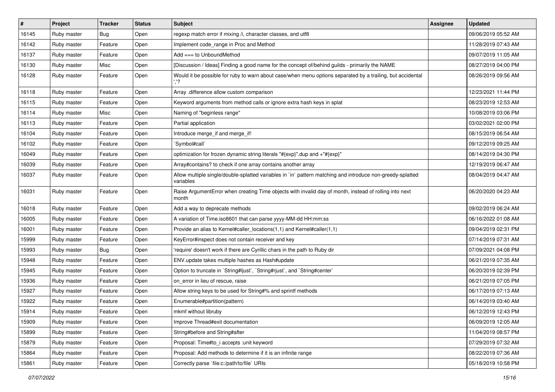| #     | Project     | <b>Tracker</b> | <b>Status</b> | <b>Subject</b>                                                                                                          | <b>Assignee</b> | <b>Updated</b>      |
|-------|-------------|----------------|---------------|-------------------------------------------------------------------------------------------------------------------------|-----------------|---------------------|
| 16145 | Ruby master | Bug            | Open          | regexp match error if mixing /i, character classes, and utf8                                                            |                 | 09/06/2019 05:52 AM |
| 16142 | Ruby master | Feature        | Open          | Implement code_range in Proc and Method                                                                                 |                 | 11/28/2019 07:43 AM |
| 16137 | Ruby master | Feature        | Open          | Add === to UnboundMethod                                                                                                |                 | 09/07/2019 11:05 AM |
| 16130 | Ruby master | Misc           | Open          | [Discussion / Ideas] Finding a good name for the concept of/behind guilds - primarily the NAME                          |                 | 08/27/2019 04:00 PM |
| 16128 | Ruby master | Feature        | Open          | Would it be possible for ruby to warn about case/when menu options separated by a trailing, but accidental              |                 | 08/26/2019 09:56 AM |
| 16118 | Ruby master | Feature        | Open          | Array .difference allow custom comparison                                                                               |                 | 12/23/2021 11:44 PM |
| 16115 | Ruby master | Feature        | Open          | Keyword arguments from method calls or ignore extra hash keys in splat                                                  |                 | 08/23/2019 12:53 AM |
| 16114 | Ruby master | Misc           | Open          | Naming of "beginless range"                                                                                             |                 | 10/08/2019 03:06 PM |
| 16113 | Ruby master | Feature        | Open          | Partial application                                                                                                     |                 | 03/02/2021 02:00 PM |
| 16104 | Ruby master | Feature        | Open          | Introduce merge_if and merge_if!                                                                                        |                 | 08/15/2019 06:54 AM |
| 16102 | Ruby master | Feature        | Open          | `Symbol#call`                                                                                                           |                 | 09/12/2019 09:25 AM |
| 16049 | Ruby master | Feature        | Open          | optimization for frozen dynamic string literals "#{exp}".dup and +"#{exp}"                                              |                 | 08/14/2019 04:30 PM |
| 16039 | Ruby master | Feature        | Open          | Array#contains? to check if one array contains another array                                                            |                 | 12/19/2019 06:47 AM |
| 16037 | Ruby master | Feature        | Open          | Allow multiple single/double-splatted variables in `in` pattern matching and introduce non-greedy-splatted<br>variables |                 | 08/04/2019 04:47 AM |
| 16031 | Ruby master | Feature        | Open          | Raise ArgumentError when creating Time objects with invalid day of month, instead of rolling into next<br>month         |                 | 06/20/2020 04:23 AM |
| 16018 | Ruby master | Feature        | Open          | Add a way to deprecate methods                                                                                          |                 | 09/02/2019 06:24 AM |
| 16005 | Ruby master | Feature        | Open          | A variation of Time.iso8601 that can parse yyyy-MM-dd HH:mm:ss                                                          |                 | 06/16/2022 01:08 AM |
| 16001 | Ruby master | Feature        | Open          | Provide an alias to Kernel#caller_locations(1,1) and Kernel#caller(1,1)                                                 |                 | 09/04/2019 02:31 PM |
| 15999 | Ruby master | Feature        | Open          | KeyError#inspect does not contain receiver and key                                                                      |                 | 07/14/2019 07:31 AM |
| 15993 | Ruby master | <b>Bug</b>     | Open          | 'require' doesn't work if there are Cyrillic chars in the path to Ruby dir                                              |                 | 07/09/2021 04:08 PM |
| 15948 | Ruby master | Feature        | Open          | ENV update takes multiple hashes as Hash#update                                                                         |                 | 06/21/2019 07:35 AM |
| 15945 | Ruby master | Feature        | Open          | Option to truncate in `String#ljust`, `String#rjust`, and `String#center`                                               |                 | 06/20/2019 02:39 PM |
| 15936 | Ruby master | Feature        | Open          | on error in lieu of rescue, raise                                                                                       |                 | 06/21/2019 07:05 PM |
| 15927 | Ruby master | Feature        | Open          | Allow string keys to be used for String#% and sprintf methods                                                           |                 | 06/17/2019 07:13 AM |
| 15922 | Ruby master | Feature        | Open          | Enumerable#partition(pattern)                                                                                           |                 | 06/14/2019 03:40 AM |
| 15914 | Ruby master | Feature        | Open          | mkmf without libruby                                                                                                    |                 | 06/12/2019 12:43 PM |
| 15909 | Ruby master | Feature        | Open          | Improve Thread#exit documentation                                                                                       |                 | 06/09/2019 12:05 AM |
| 15899 | Ruby master | Feature        | Open          | String#before and String#after                                                                                          |                 | 11/04/2019 08:57 PM |
| 15879 | Ruby master | Feature        | Open          | Proposal: Time#to_i accepts : unit keyword                                                                              |                 | 07/29/2019 07:32 AM |
| 15864 | Ruby master | Feature        | Open          | Proposal: Add methods to determine if it is an infinite range                                                           |                 | 08/22/2019 07:36 AM |
| 15861 | Ruby master | Feature        | Open          | Correctly parse 'file:c:/path/to/file' URIs                                                                             |                 | 05/18/2019 10:58 PM |